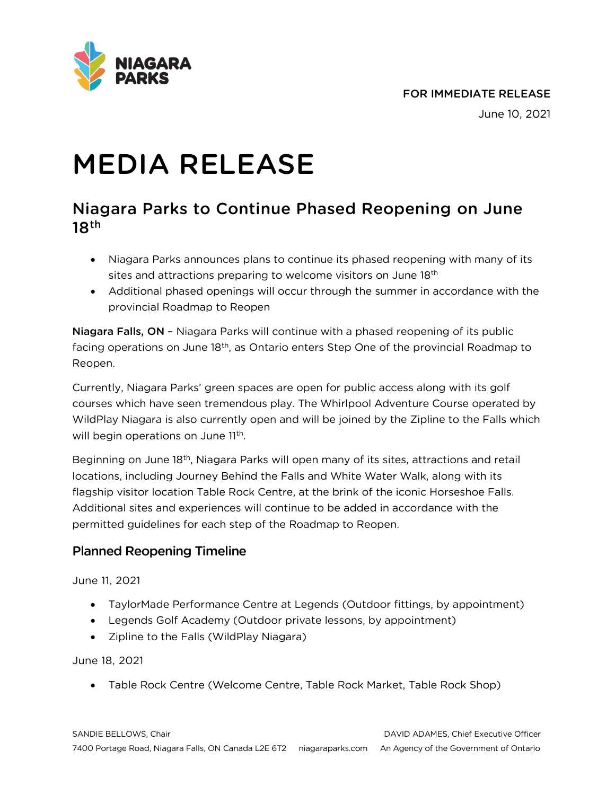

#### FOR IMMEDIATE RELEASE

June 10, 2021

# MEDIA RELEASE

# Niagara Parks to Continue Phased Reopening on June  $18<sup>th</sup>$

- Niagara Parks announces plans to continue its phased reopening with many of its sites and attractions preparing to welcome visitors on June 18<sup>th</sup>
- Additional phased openings will occur through the summer in accordance with the provincial Roadmap to Reopen

Niagara Falls, ON – Niagara Parks will continue with a phased reopening of its public facing operations on June 18<sup>th</sup>, as Ontario enters Step One of the provincial Roadmap to Reopen.

Currently, Niagara Parks' green spaces are open for public access along with its golf courses which have seen tremendous play. The Whirlpool Adventure Course operated by WildPlay Niagara is also currently open and will be joined by the Zipline to the Falls which will begin operations on June 11<sup>th</sup>.

Beginning on June 18th, Niagara Parks will open many of its sites, attractions and retail locations, including Journey Behind the Falls and White Water Walk, along with its flagship visitor location Table Rock Centre, at the brink of the iconic Horseshoe Falls. Additional sites and experiences will continue to be added in accordance with the permitted guidelines for each step of the Roadmap to Reopen.

# Planned Reopening Timeline

#### June 11, 2021

- TaylorMade Performance Centre at Legends (Outdoor fittings, by appointment)
- Legends Golf Academy (Outdoor private lessons, by appointment)
- Zipline to the Falls (WildPlay Niagara)

June 18, 2021

• Table Rock Centre (Welcome Centre, Table Rock Market, Table Rock Shop)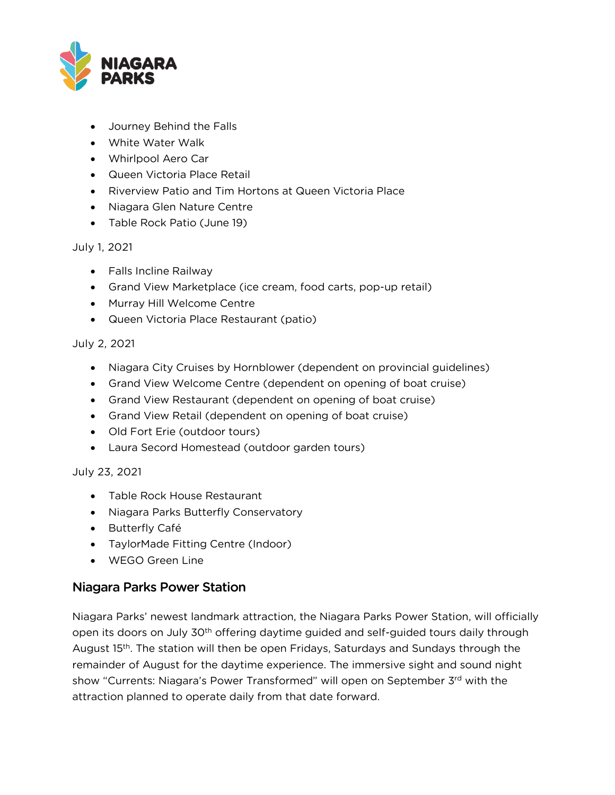

- Journey Behind the Falls
- White Water Walk
- Whirlpool Aero Car
- Queen Victoria Place Retail
- Riverview Patio and Tim Hortons at Queen Victoria Place
- Niagara Glen Nature Centre
- Table Rock Patio (June 19)

#### July 1, 2021

- Falls Incline Railway
- Grand View Marketplace (ice cream, food carts, pop-up retail)
- Murray Hill Welcome Centre
- Queen Victoria Place Restaurant (patio)

#### July 2, 2021

- Niagara City Cruises by Hornblower (dependent on provincial guidelines)
- Grand View Welcome Centre (dependent on opening of boat cruise)
- Grand View Restaurant (dependent on opening of boat cruise)
- Grand View Retail (dependent on opening of boat cruise)
- Old Fort Erie (outdoor tours)
- Laura Secord Homestead (outdoor garden tours)

#### July 23, 2021

- Table Rock House Restaurant
- Niagara Parks Butterfly Conservatory
- Butterfly Café
- TaylorMade Fitting Centre (Indoor)
- WEGO Green Line

### Niagara Parks Power Station

Niagara Parks' newest landmark attraction, the Niagara Parks Power Station, will officially open its doors on July 30<sup>th</sup> offering daytime guided and self-guided tours daily through August 15<sup>th</sup>. The station will then be open Fridays, Saturdays and Sundays through the remainder of August for the daytime experience. The immersive sight and sound night show "Currents: Niagara's Power Transformed" will open on September 3<sup>rd</sup> with the attraction planned to operate daily from that date forward.